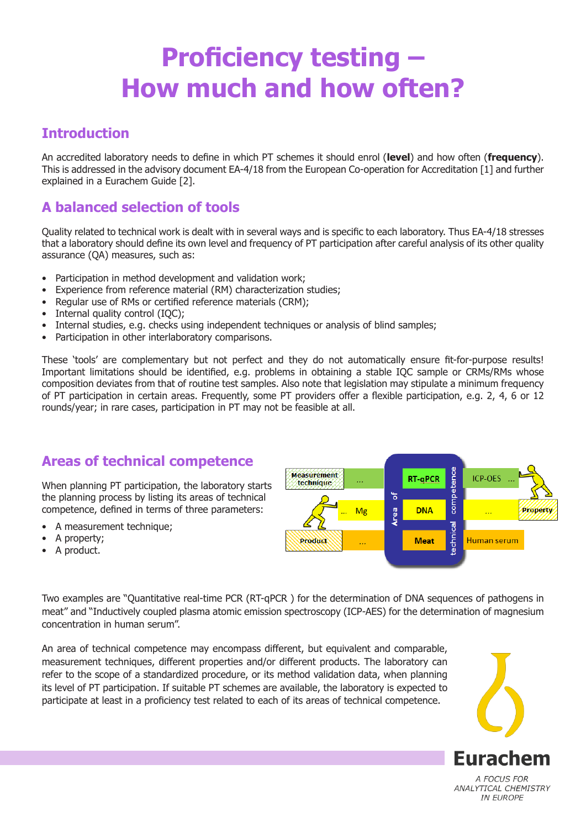# **Proficiency testing – How much and how often?**

### **Introduction**

An accredited laboratory needs to define in which PT schemes it should enrol (**level**) and how often (**frequency**). This is addressed in the advisory document EA-4/18 from the European Co-operation for Accreditation [1] and further explained in a Eurachem Guide [2].

## **A balanced selection of tools**

Quality related to technical work is dealt with in several ways and is specific to each laboratory. Thus EA-4/18 stresses that a laboratory should define its own level and frequency of PT participation after careful analysis of its other quality assurance (QA) measures, such as:

- Participation in method development and validation work;
- Experience from reference material (RM) characterization studies;
- Regular use of RMs or certified reference materials (CRM);
- Internal quality control (IQC);
- Internal studies, e.g. checks using independent techniques or analysis of blind samples;
- Participation in other interlaboratory comparisons.

These 'tools' are complementary but not perfect and they do not automatically ensure fit-for-purpose results! Important limitations should be identified, e.g. problems in obtaining a stable IQC sample or CRMs/RMs whose composition deviates from that of routine test samples. Also note that legislation may stipulate a minimum frequency of PT participation in certain areas. Frequently, some PT providers offer a flexible participation, e.g. 2, 4, 6 or 12 rounds/year; in rare cases, participation in PT may not be feasible at all.

#### **Areas of technical competence**

When planning PT participation, the laboratory starts the planning process by listing its areas of technical competence, defined in terms of three parameters:

- A measurement technique;
- A property;
- A product.



Two examples are "Quantitative real-time PCR (RT-qPCR ) for the determination of DNA sequences of pathogens in meat" and "Inductively coupled plasma atomic emission spectroscopy (ICP-AES) for the determination of magnesium concentration in human serum".

An area of technical competence may encompass different, but equivalent and comparable, measurement techniques, different properties and/or different products. The laboratory can refer to the scope of a standardized procedure, or its method validation data, when planning its level of PT participation. If suitable PT schemes are available, the laboratory is expected to participate at least in a proficiency test related to each of its areas of technical competence.



ANALYTICAL CHEMISTRY **IN EUROPE**